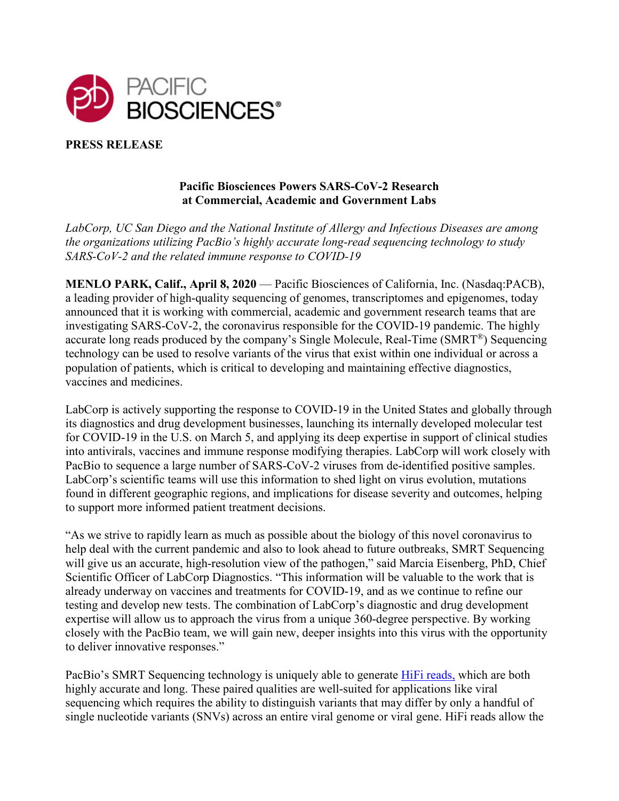

# **PRESS RELEASE**

## **Pacific Biosciences Powers SARS-CoV-2 Research at Commercial, Academic and Government Labs**

*LabCorp, UC San Diego and the National Institute of Allergy and Infectious Diseases are among the organizations utilizing PacBio's highly accurate long-read sequencing technology to study SARS-CoV-2 and the related immune response to COVID-19*

**MENLO PARK, Calif., April 8, 2020** — Pacific Biosciences of California, Inc. (Nasdaq:PACB), a leading provider of high-quality sequencing of genomes, transcriptomes and epigenomes, today announced that it is working with commercial, academic and government research teams that are investigating SARS-CoV-2, the coronavirus responsible for the COVID-19 pandemic. The highly accurate long reads produced by the company's Single Molecule, Real-Time (SMRT®) Sequencing technology can be used to resolve variants of the virus that exist within one individual or across a population of patients, which is critical to developing and maintaining effective diagnostics, vaccines and medicines.

LabCorp is actively supporting the response to COVID-19 in the United States and globally through its diagnostics and drug development businesses, launching its internally developed molecular test for COVID-19 in the U.S. on March 5, and applying its deep expertise in support of clinical studies into antivirals, vaccines and immune response modifying therapies. LabCorp will work closely with PacBio to sequence a large number of SARS-CoV-2 viruses from de-identified positive samples. LabCorp's scientific teams will use this information to shed light on virus evolution, mutations found in different geographic regions, and implications for disease severity and outcomes, helping to support more informed patient treatment decisions.

"As we strive to rapidly learn as much as possible about the biology of this novel coronavirus to help deal with the current pandemic and also to look ahead to future outbreaks, SMRT Sequencing will give us an accurate, high-resolution view of the pathogen," said Marcia Eisenberg, PhD, Chief Scientific Officer of LabCorp Diagnostics. "This information will be valuable to the work that is already underway on vaccines and treatments for COVID-19, and as we continue to refine our testing and develop new tests. The combination of LabCorp's diagnostic and drug development expertise will allow us to approach the virus from a unique 360-degree perspective. By working closely with the PacBio team, we will gain new, deeper insights into this virus with the opportunity to deliver innovative responses."

PacBio's SMRT Sequencing technology is uniquely able to generate [HiFi reads,](https://www.pacb.com/smrt-science/smrt-sequencing/smrt-sequencing-modes/) which are both highly accurate and long. These paired qualities are well-suited for applications like viral sequencing which requires the ability to distinguish variants that may differ by only a handful of single nucleotide variants (SNVs) across an entire viral genome or viral gene. HiFi reads allow the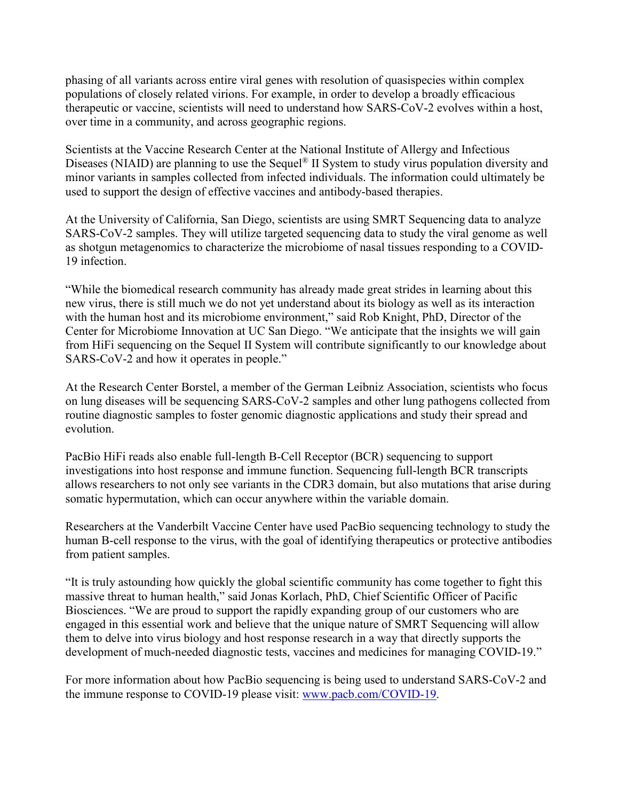phasing of all variants across entire viral genes with resolution of quasispecies within complex populations of closely related virions. For example, in order to develop a broadly efficacious therapeutic or vaccine, scientists will need to understand how SARS-CoV-2 evolves within a host, over time in a community, and across geographic regions.

Scientists at the Vaccine Research Center at the National Institute of Allergy and Infectious Diseases (NIAID) are planning to use the Sequel<sup>®</sup> II System to study virus population diversity and minor variants in samples collected from infected individuals. The information could ultimately be used to support the design of effective vaccines and antibody-based therapies.

At the University of California, San Diego, scientists are using SMRT Sequencing data to analyze SARS-CoV-2 samples. They will utilize targeted sequencing data to study the viral genome as well as shotgun metagenomics to characterize the microbiome of nasal tissues responding to a COVID-19 infection.

"While the biomedical research community has already made great strides in learning about this new virus, there is still much we do not yet understand about its biology as well as its interaction with the human host and its microbiome environment," said Rob Knight, PhD, Director of the Center for Microbiome Innovation at UC San Diego. "We anticipate that the insights we will gain from HiFi sequencing on the Sequel II System will contribute significantly to our knowledge about SARS-CoV-2 and how it operates in people."

At the Research Center Borstel, a member of the German Leibniz Association, scientists who focus on lung diseases will be sequencing SARS-CoV-2 samples and other lung pathogens collected from routine diagnostic samples to foster genomic diagnostic applications and study their spread and evolution.

PacBio HiFi reads also enable full-length B-Cell Receptor (BCR) sequencing to support investigations into host response and immune function. Sequencing full-length BCR transcripts allows researchers to not only see variants in the CDR3 domain, but also mutations that arise during somatic hypermutation, which can occur anywhere within the variable domain.

Researchers at the Vanderbilt Vaccine Center have used PacBio sequencing technology to study the human B-cell response to the virus, with the goal of identifying therapeutics or protective antibodies from patient samples.

"It is truly astounding how quickly the global scientific community has come together to fight this massive threat to human health," said Jonas Korlach, PhD, Chief Scientific Officer of Pacific Biosciences. "We are proud to support the rapidly expanding group of our customers who are engaged in this essential work and believe that the unique nature of SMRT Sequencing will allow them to delve into virus biology and host response research in a way that directly supports the development of much-needed diagnostic tests, vaccines and medicines for managing COVID-19."

For more information about how PacBio sequencing is being used to understand SARS-CoV-2 and the immune response to COVID-19 please visit: [www.pacb.com/COVID-19.](http://www.pacb.com/COVID-19)